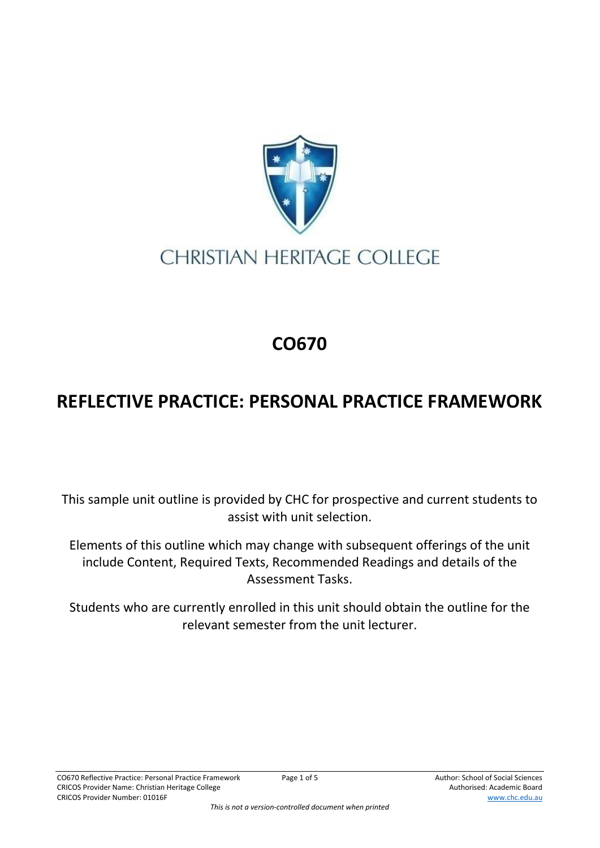

## **CHRISTIAN HERITAGE COLLEGE**

## **CO670**

## **REFLECTIVE PRACTICE: PERSONAL PRACTICE FRAMEWORK**

This sample unit outline is provided by CHC for prospective and current students to assist with unit selection.

Elements of this outline which may change with subsequent offerings of the unit include Content, Required Texts, Recommended Readings and details of the Assessment Tasks.

Students who are currently enrolled in this unit should obtain the outline for the relevant semester from the unit lecturer.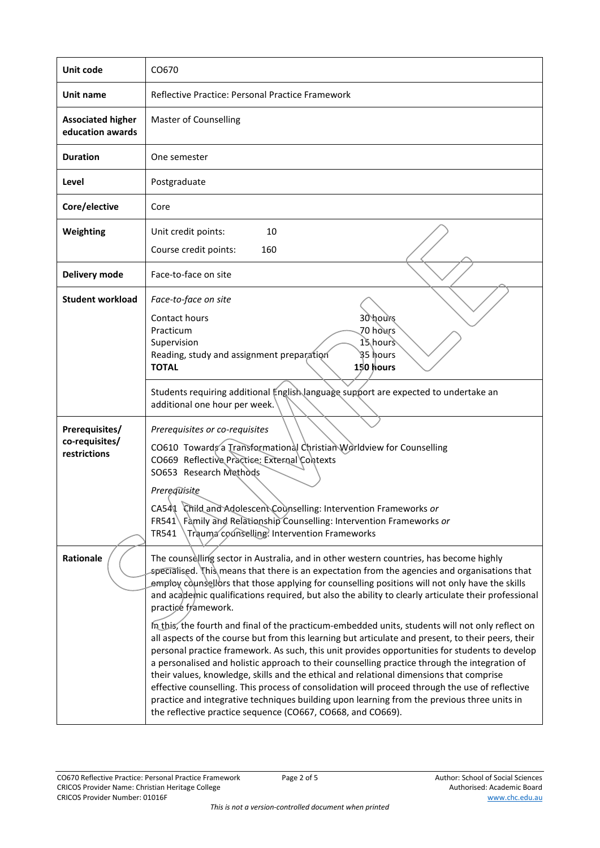| Unit code                                        | CO670                                                                                                                                                                                                                                                                                                                                                                                                                                                                                                                                                                                                                                                                                                                                                                                                                                                                                                                                                                                                                                                                                                                                                                                            |  |  |
|--------------------------------------------------|--------------------------------------------------------------------------------------------------------------------------------------------------------------------------------------------------------------------------------------------------------------------------------------------------------------------------------------------------------------------------------------------------------------------------------------------------------------------------------------------------------------------------------------------------------------------------------------------------------------------------------------------------------------------------------------------------------------------------------------------------------------------------------------------------------------------------------------------------------------------------------------------------------------------------------------------------------------------------------------------------------------------------------------------------------------------------------------------------------------------------------------------------------------------------------------------------|--|--|
| Unit name                                        | Reflective Practice: Personal Practice Framework                                                                                                                                                                                                                                                                                                                                                                                                                                                                                                                                                                                                                                                                                                                                                                                                                                                                                                                                                                                                                                                                                                                                                 |  |  |
| <b>Associated higher</b><br>education awards     | <b>Master of Counselling</b>                                                                                                                                                                                                                                                                                                                                                                                                                                                                                                                                                                                                                                                                                                                                                                                                                                                                                                                                                                                                                                                                                                                                                                     |  |  |
| <b>Duration</b>                                  | One semester                                                                                                                                                                                                                                                                                                                                                                                                                                                                                                                                                                                                                                                                                                                                                                                                                                                                                                                                                                                                                                                                                                                                                                                     |  |  |
| Level                                            | Postgraduate                                                                                                                                                                                                                                                                                                                                                                                                                                                                                                                                                                                                                                                                                                                                                                                                                                                                                                                                                                                                                                                                                                                                                                                     |  |  |
| Core/elective                                    | Core                                                                                                                                                                                                                                                                                                                                                                                                                                                                                                                                                                                                                                                                                                                                                                                                                                                                                                                                                                                                                                                                                                                                                                                             |  |  |
| Weighting                                        | Unit credit points:<br>10<br>Course credit points:<br>160                                                                                                                                                                                                                                                                                                                                                                                                                                                                                                                                                                                                                                                                                                                                                                                                                                                                                                                                                                                                                                                                                                                                        |  |  |
| Delivery mode                                    | Face-to-face on site                                                                                                                                                                                                                                                                                                                                                                                                                                                                                                                                                                                                                                                                                                                                                                                                                                                                                                                                                                                                                                                                                                                                                                             |  |  |
| <b>Student workload</b>                          | Face-to-face on site<br>30 hours<br>Contact hours<br>70 hours<br>Practicum<br>15 hours<br>Supervision<br>՝§5 իours<br>Reading, study and assignment preparation<br><b>TOTAL</b><br>150 hours                                                                                                                                                                                                                                                                                                                                                                                                                                                                                                                                                                                                                                                                                                                                                                                                                                                                                                                                                                                                     |  |  |
|                                                  | Students requiring additional English language support are expected to undertake an<br>additional one hour per week.                                                                                                                                                                                                                                                                                                                                                                                                                                                                                                                                                                                                                                                                                                                                                                                                                                                                                                                                                                                                                                                                             |  |  |
| Prerequisites/<br>co-requisites/<br>restrictions | Prerequisites or co-requisites<br>CO610 Towards a Transformational Christian Worldview for Counselling<br>CO669 Reflective Practice: External Contexts<br>SO653 Research Methods<br>Prerequisite<br>CA541 Child and Adolescent Counselling: Intervention Frameworks or<br>FR541\Family and Relationship Counselling: Intervention Frameworks or<br>Trauma counselling? Intervention Frameworks<br>TR541                                                                                                                                                                                                                                                                                                                                                                                                                                                                                                                                                                                                                                                                                                                                                                                          |  |  |
| Rationale                                        | The counselling sector in Australia, and in other western countries, has become highly<br>specialised. This means that there is an expectation from the agencies and organisations that<br>employ counsellors that those applying for counselling positions will not only have the skills<br>and academic qualifications required, but also the ability to clearly articulate their professional<br>practice framework.<br>In this, the fourth and final of the practicum-embedded units, students will not only reflect on<br>all aspects of the course but from this learning but articulate and present, to their peers, their<br>personal practice framework. As such, this unit provides opportunities for students to develop<br>a personalised and holistic approach to their counselling practice through the integration of<br>their values, knowledge, skills and the ethical and relational dimensions that comprise<br>effective counselling. This process of consolidation will proceed through the use of reflective<br>practice and integrative techniques building upon learning from the previous three units in<br>the reflective practice sequence (CO667, CO668, and CO669). |  |  |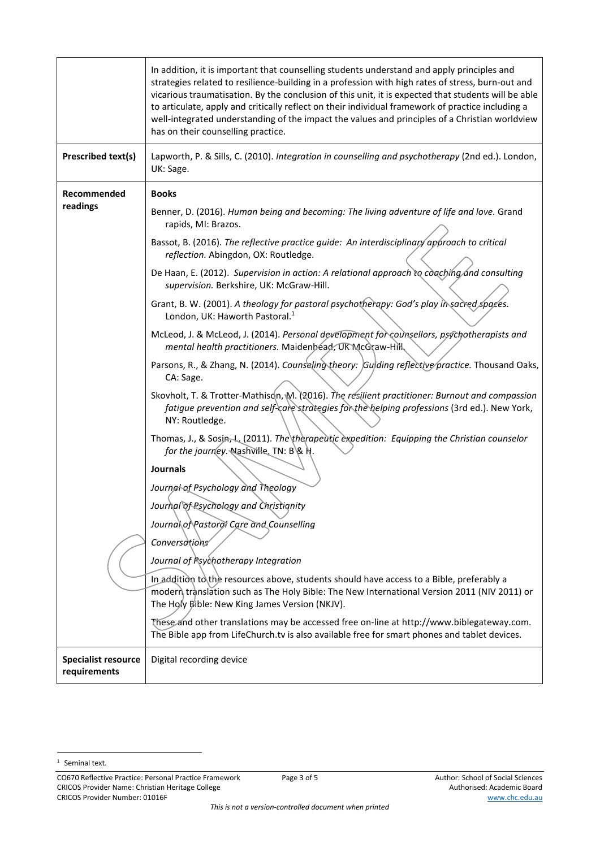|                                            | In addition, it is important that counselling students understand and apply principles and<br>strategies related to resilience-building in a profession with high rates of stress, burn-out and<br>vicarious traumatisation. By the conclusion of this unit, it is expected that students will be able<br>to articulate, apply and critically reflect on their individual framework of practice including a<br>well-integrated understanding of the impact the values and principles of a Christian worldview<br>has on their counselling practice. |  |  |
|--------------------------------------------|-----------------------------------------------------------------------------------------------------------------------------------------------------------------------------------------------------------------------------------------------------------------------------------------------------------------------------------------------------------------------------------------------------------------------------------------------------------------------------------------------------------------------------------------------------|--|--|
| Prescribed text(s)                         | Lapworth, P. & Sills, C. (2010). Integration in counselling and psychotherapy (2nd ed.). London,<br>UK: Sage.                                                                                                                                                                                                                                                                                                                                                                                                                                       |  |  |
| Recommended                                | <b>Books</b>                                                                                                                                                                                                                                                                                                                                                                                                                                                                                                                                        |  |  |
| readings                                   | Benner, D. (2016). Human being and becoming: The living adventure of life and love. Grand<br>rapids, MI: Brazos.                                                                                                                                                                                                                                                                                                                                                                                                                                    |  |  |
|                                            | Bassot, B. (2016). The reflective practice guide: An interdisciplinary approach to critical<br>reflection. Abingdon, OX: Routledge.                                                                                                                                                                                                                                                                                                                                                                                                                 |  |  |
|                                            | De Haan, E. (2012). Supervision in action: A relational approach to coaching and consulting<br>supervision. Berkshire, UK: McGraw-Hill.                                                                                                                                                                                                                                                                                                                                                                                                             |  |  |
|                                            | Grant, B. W. (2001). A theology for pastoral psychotherapy: God's play in sacred spaces.<br>London, UK: Haworth Pastoral. <sup>1</sup>                                                                                                                                                                                                                                                                                                                                                                                                              |  |  |
|                                            | McLeod, J. & McLeod, J. (2014). Personal development for counsellors, psychotherapists and<br>mental health practitioners. Maidenbead, UK McGraw-Hill                                                                                                                                                                                                                                                                                                                                                                                               |  |  |
|                                            | Parsons, R., & Zhang, N. (2014). Counseling theory: Guiding reflective practice. Thousand Oaks,<br>CA: Sage.                                                                                                                                                                                                                                                                                                                                                                                                                                        |  |  |
|                                            | Skovholt, T. & Trotter-Mathison, M. (2016). The resilient practitioner: Burnout and compassion<br>fatigue prevention and self-care strategies for the helping professions (3rd ed.). New York,<br>NY: Routledge.                                                                                                                                                                                                                                                                                                                                    |  |  |
|                                            | Thomas, J., & Sosin, L. (2011). The therapeutic expedition: Equipping the Christian counselor<br>for the journey. Nashville, TN: B & H.                                                                                                                                                                                                                                                                                                                                                                                                             |  |  |
|                                            | <b>Journals</b><br>Journal of Psychology and Theology                                                                                                                                                                                                                                                                                                                                                                                                                                                                                               |  |  |
|                                            | Journal of Psychology and Christianity                                                                                                                                                                                                                                                                                                                                                                                                                                                                                                              |  |  |
|                                            | Journal of Pastorol Care and Counselling                                                                                                                                                                                                                                                                                                                                                                                                                                                                                                            |  |  |
|                                            | Conversations                                                                                                                                                                                                                                                                                                                                                                                                                                                                                                                                       |  |  |
|                                            | Journal of Psychotherapy Integration                                                                                                                                                                                                                                                                                                                                                                                                                                                                                                                |  |  |
|                                            | In addition to the resources above, students should have access to a Bible, preferably a<br>modern translation such as The Holy Bible: The New International Version 2011 (NIV 2011) or<br>The Holy Bible: New King James Version (NKJV).                                                                                                                                                                                                                                                                                                           |  |  |
|                                            | These and other translations may be accessed free on-line at http://www.biblegateway.com.<br>The Bible app from LifeChurch.tv is also available free for smart phones and tablet devices.                                                                                                                                                                                                                                                                                                                                                           |  |  |
| <b>Specialist resource</b><br>requirements | Digital recording device                                                                                                                                                                                                                                                                                                                                                                                                                                                                                                                            |  |  |

CO670 Reflective Practice: Personal Practice Framework Page 3 of 5 Author: School of Social Sciences CRICOS Provider Name: Christian Heritage College Authorised: Academic Board Authorised: Academic Board CRICOS Provider Number: 01016F www.chc.edu.au

<sup>&</sup>lt;sup>1</sup> Seminal text.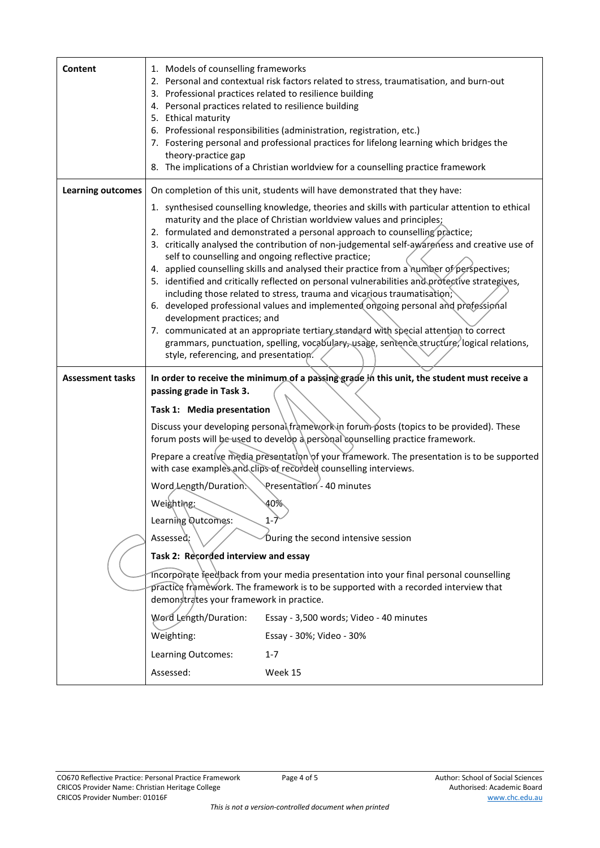| Content                  | 1. Models of counselling frameworks<br>2. Personal and contextual risk factors related to stress, traumatisation, and burn-out<br>3. Professional practices related to resilience building<br>4. Personal practices related to resilience building<br>5. Ethical maturity<br>6. Professional responsibilities (administration, registration, etc.)<br>7. Fostering personal and professional practices for lifelong learning which bridges the<br>theory-practice gap<br>8. The implications of a Christian worldview for a counselling practice framework                                                                                                                                                                                                                                                                                                                                                                                                                                                                                  |  |  |
|--------------------------|---------------------------------------------------------------------------------------------------------------------------------------------------------------------------------------------------------------------------------------------------------------------------------------------------------------------------------------------------------------------------------------------------------------------------------------------------------------------------------------------------------------------------------------------------------------------------------------------------------------------------------------------------------------------------------------------------------------------------------------------------------------------------------------------------------------------------------------------------------------------------------------------------------------------------------------------------------------------------------------------------------------------------------------------|--|--|
| <b>Learning outcomes</b> | On completion of this unit, students will have demonstrated that they have:                                                                                                                                                                                                                                                                                                                                                                                                                                                                                                                                                                                                                                                                                                                                                                                                                                                                                                                                                                 |  |  |
|                          | 1. synthesised counselling knowledge, theories and skills with particular attention to ethical<br>maturity and the place of Christian worldview values and principles;<br>2. formulated and demonstrated a personal approach to counselling practice;<br>3. critically analysed the contribution of non-judgemental self-awareness and creative use of<br>self to counselling and ongoing reflective practice;<br>4. applied counselling skills and analysed their practice from a number of perspectives;<br>5. identified and critically reflected on personal vulnerabilities and protective strategives,<br>including those related to stress, trauma and vicarious traumatisation;<br>6. developed professional values and implemented ongoing personal and professional<br>development practices; and<br>7. communicated at an appropriate tertiary standard with special attention to correct<br>grammars, punctuation, spelling, vocabulary, usage, sentence structure, logical relations,<br>style, referencing, and presentation. |  |  |
|                          | In order to receive the minimum of a passing grade in this unit, the student must receive a                                                                                                                                                                                                                                                                                                                                                                                                                                                                                                                                                                                                                                                                                                                                                                                                                                                                                                                                                 |  |  |
| <b>Assessment tasks</b>  |                                                                                                                                                                                                                                                                                                                                                                                                                                                                                                                                                                                                                                                                                                                                                                                                                                                                                                                                                                                                                                             |  |  |
|                          | passing grade in Task 3.                                                                                                                                                                                                                                                                                                                                                                                                                                                                                                                                                                                                                                                                                                                                                                                                                                                                                                                                                                                                                    |  |  |
|                          | Task 1: Media presentation                                                                                                                                                                                                                                                                                                                                                                                                                                                                                                                                                                                                                                                                                                                                                                                                                                                                                                                                                                                                                  |  |  |
|                          | Discuss your developing personal framework in forum posts (topics to be provided). These<br>forum posts will be used to develop a personal counselling practice framework.                                                                                                                                                                                                                                                                                                                                                                                                                                                                                                                                                                                                                                                                                                                                                                                                                                                                  |  |  |
|                          | Prepare a creative media presentation of your framework. The presentation is to be supported<br>with case examples and clips of recorded counselling interviews.                                                                                                                                                                                                                                                                                                                                                                                                                                                                                                                                                                                                                                                                                                                                                                                                                                                                            |  |  |
|                          | Presentation - 40 minutes<br>Word Length/Duration.                                                                                                                                                                                                                                                                                                                                                                                                                                                                                                                                                                                                                                                                                                                                                                                                                                                                                                                                                                                          |  |  |
|                          | 40%<br>Weighting:                                                                                                                                                                                                                                                                                                                                                                                                                                                                                                                                                                                                                                                                                                                                                                                                                                                                                                                                                                                                                           |  |  |
|                          | Learning Qutcomes:                                                                                                                                                                                                                                                                                                                                                                                                                                                                                                                                                                                                                                                                                                                                                                                                                                                                                                                                                                                                                          |  |  |
|                          | Assessed:<br>During the second intensive session                                                                                                                                                                                                                                                                                                                                                                                                                                                                                                                                                                                                                                                                                                                                                                                                                                                                                                                                                                                            |  |  |
|                          | Task 2: Recorded interview and essay<br>Incorporate reedback from your media presentation into your final personal counselling<br>practice framework. The framework is to be supported with a recorded interview that<br>demonstrates your framework in practice.                                                                                                                                                                                                                                                                                                                                                                                                                                                                                                                                                                                                                                                                                                                                                                           |  |  |
|                          | Word Length/Duration:<br>Essay - 3,500 words; Video - 40 minutes                                                                                                                                                                                                                                                                                                                                                                                                                                                                                                                                                                                                                                                                                                                                                                                                                                                                                                                                                                            |  |  |
|                          | Weighting:<br>Essay - 30%; Video - 30%                                                                                                                                                                                                                                                                                                                                                                                                                                                                                                                                                                                                                                                                                                                                                                                                                                                                                                                                                                                                      |  |  |
|                          | Learning Outcomes:<br>$1 - 7$                                                                                                                                                                                                                                                                                                                                                                                                                                                                                                                                                                                                                                                                                                                                                                                                                                                                                                                                                                                                               |  |  |